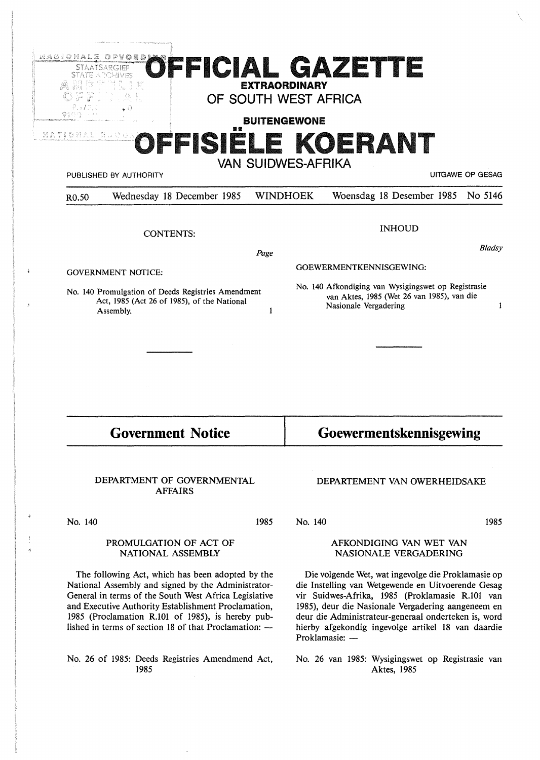|                                                                                                                     | <b>STAATSARGIEF</b>                          | <b>EXTRAORDINARY</b>      |                                                                                                                                 | OFFICIAL GAZETTE             |                  |
|---------------------------------------------------------------------------------------------------------------------|----------------------------------------------|---------------------------|---------------------------------------------------------------------------------------------------------------------------------|------------------------------|------------------|
|                                                                                                                     |                                              | OF SOUTH WEST AFRICA      |                                                                                                                                 |                              |                  |
| 9100<br>NATIONAL BUUGE                                                                                              | 臨額                                           | <b>BUITENGEWONE</b>       |                                                                                                                                 |                              |                  |
|                                                                                                                     |                                              |                           |                                                                                                                                 | OFFISIELE KOERANT            |                  |
|                                                                                                                     | PUBLISHED BY AUTHORITY                       | <b>VAN SUIDWES-AFRIKA</b> |                                                                                                                                 |                              | UITGAWE OP GESAG |
| R <sub>0.50</sub>                                                                                                   | Wednesday 18 December 1985                   | <b>WINDHOEK</b>           |                                                                                                                                 | Woensdag 18 Desember 1985    | No 5146          |
|                                                                                                                     |                                              |                           |                                                                                                                                 | <b>INHOUD</b>                |                  |
|                                                                                                                     | <b>CONTENTS:</b>                             |                           |                                                                                                                                 |                              |                  |
|                                                                                                                     |                                              | Page                      |                                                                                                                                 |                              | Bladsy           |
| <b>GOVERNMENT NOTICE:</b>                                                                                           |                                              |                           | GOEWERMENTKENNISGEWING:                                                                                                         |                              |                  |
| No. 140 Promulgation of Deeds Registries Amendment<br>Act, 1985 (Act 26 of 1985), of the National<br>Assembly.<br>1 |                                              |                           | No. 140 Afkondiging van Wysigingswet op Registrasie<br>van Aktes, 1985 (Wet 26 van 1985), van die<br>Nasionale Vergadering<br>1 |                              |                  |
|                                                                                                                     |                                              |                           |                                                                                                                                 |                              |                  |
|                                                                                                                     |                                              |                           |                                                                                                                                 |                              |                  |
| <b>Government Notice</b>                                                                                            |                                              |                           | Goewermentskennisgewing                                                                                                         |                              |                  |
|                                                                                                                     | DEPARTMENT OF GOVERNMENTAL<br><b>AFFAIRS</b> |                           |                                                                                                                                 | DEPARTEMENT VAN OWERHEIDSAKE |                  |
| No. 140                                                                                                             |                                              | 1985                      | No. 140                                                                                                                         |                              | 1985             |
| PROMULGATION OF ACT OF<br>NATIONAL ASSEMBLY                                                                         |                                              |                           | AFKONDIGING VAN WET VAN<br>NASIONALE VERGADERING                                                                                |                              |                  |
| The following Act, which has been adopted by the<br>National Assembly and signed by the Administrator-              |                                              |                           | Die volgende Wet, wat ingevolge die Proklamasie op<br>die Instelling van Wetgewende en Uitvoerende Gesag                        |                              |                  |

No. 26 of 1985: Deeds Registries Amendmend Act,

1985

General in terms of the South West Africa Legislative and Executive Authority Establishment Proclamation, 1985 (Proclamation R.101 of 1985), is hereby published in terms of section  $18$  of that Proclamation:  $$ die Instelling van Wetgewende en Uitvoerende Gesag vir Suidwes-Afrika, 1985 (Proklamasie R.101 van 1985), deur die Nasionale Vergadering aangeneem en deur die Administrateur-generaal onderteken is, word hierby afgekondig ingevolge artikel 18 van daardie Proklamasie: -

> No. 26 van 1985: Wysigingswet op Registrasie van Aktes, 1985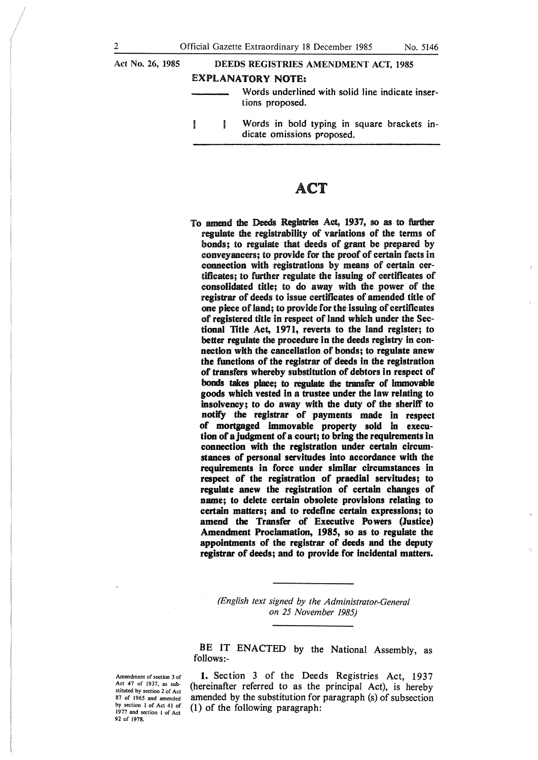# Act No. 26, 1985 DEEDS REGISTRIES AMENDMENT ACT, 1985

### EXPLANATORY NOTE:

- Words underlined with solid line indicate insertions proposed.
- Words in bold typing in square brackets in-**B** dicate omissions proposed.

# ACT

To amend die Deeds Registries Act, 1937, so as to further regulate the registrability of variations of the terms of bonds; to regulate that deeds of grant be prepared by conveyancers; to provide for the proof of certain facts in **connection** with registrations by means of certain certificates; to further regulate the issuing of certificates of **consolidated** title; to do away with the power of the registrar of deeds to issue certificates **of** amended **title** of **one piece** of land; to provide for the **issuing** of certificates of **registered title in** respect of land which under the **Sectional Title Act, 1971, reverts to the land register; to better regulate the procedure in the deeds registry in connection with the cancellation of bonds; to regulate anew the functions of the registrar of deeds in the registration of transfers whereby substitution of debtors in respect of hoods takes place; to regulate die transfer of immovable goods which vested in a trustee under the law relating to insolvency; to do away with the duty of the sheriff to notify the registrar of payments made in respect of mortgaged immovable property sold** in **execution of a judgment of a court; to bring the requirements in connection with the registration under certain circumstances of personal servitudes into accordance with the requirements in force under similar circumstances in respect of the registration of praedial servitudes; to regulate anew the registration of certain changes of name; to delete certain obsolete provisions relating to certain matters; and to redefine certain expressions; to amend the Transfer of Executive Powers (Justice) Amendment Proclamation, 1985, so as to regulate the appointments of the registrar of deeds and the deputy registrar of deeds; and to provide for incidental matters.** 

> *(English text signed by the Administrator-General on 25 November 1985)*

BE IT ENACTED by the National Assembly, as follows:-

Amendment of section 3 of Act 47 of 1937, as substituted by section 2 of Act 87 of 1965 and amended by section 1 of Act 41 of 1977 and section l of Act 92 of 1978.

1. Section 3 of the Deeds Registries Act, 1937 (hereinafter referred to as the principal Act), is hereby amended by the substitution for paragraph (s) of subsection (1) of the following paragraph: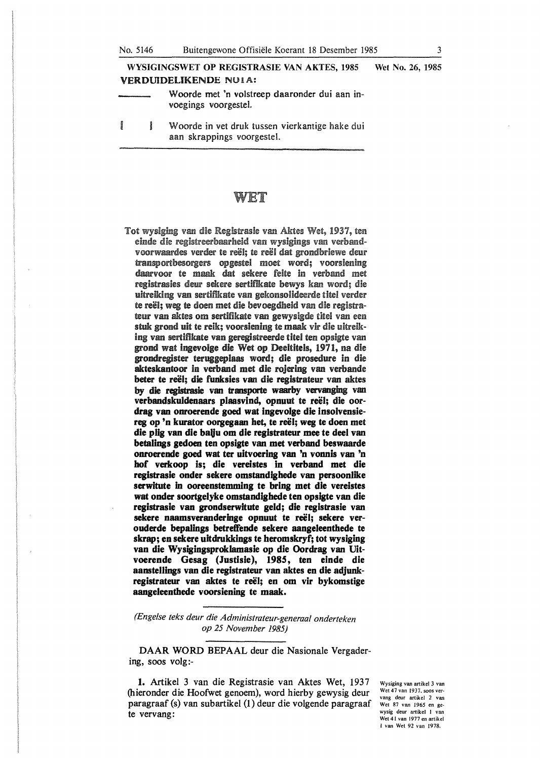**WYSIGINGSWET OP REGISTRASIE VAN AKTES, 1985 Wet No.** 26, 1985 **VERDUIDELIKENDE NO1A:** 

Woorde met 'n volstreep daaronder dui aan invoegings voorgestel.

**Board** Ĵ Woorde in vet druk tussen vierkantige hake dui aan skrappings voorgestel.

## WET

Tot wysiging van die Registrasie van Aktes Wet, 1937, ten einde die registreerbaarheid van wysigings van verbandvoorwaardes verder te reël; te reël dat grondbriewe deur transportbesorgers opgestel moet word; voorsiening daarvoor te maak dat sekere feite in verband met registrasies deur sekere sertifikate bewys kan word; die uitreiking van sertifikate van gekonsoiideerde titel verder te reël; weg te doen met die bevoegdheid van die registrateur van aktes om sertifikate van gewysigde titel van een stuk grond uit te reik; voorsiening te maak vir die uitreiking van sertifikate van geregistreerde titel ten opsigte van grond wat ingevolge die Wet op Deeltitels, 1971, na die grondregister teruggeplaas word; die prosedme in die **akteskantoor** in verband met die rojering van verbande **beter te reel; die funksies van** die **registratem** van aktes by die registrasie van transporte waarby vervanging van verbandskuldenaars plaasvind, opnuut te reël; die oordrag van onroerende goed wat ingevolge die insolvensiereg op 'n kurator oorgegaan het, te reël; weg te doen met die plig van die balju om die registrateur mee te deel van **betalings gedoen ten opsigte van met verband beswaarde**  onroerende goed wat ter uitvoering van 'n vonnis van 'n **hof verkoop is; die vereistes in verband met die registrasie onder sekere omstandighede van persoonlike**  serwltute in **ooreenstemming te bring met die vereistes wat onder soortgelyke omstandighede ten opsigte van die registrasie van grondserwitute geld; die registrasie van**  sekere naamsveranderinge opnuut te reël; sekere ver**ouderde bepalings betretfende sekere aangeleenthede te**  skrap; en sekere uitdrukkings te heromskryf; tot wysiging **van die Wysigingsproklamasie op die Oordrag van Uitvoerende Gesag (Justisie), 1985, ten einde die aanstellings van die registrateur van aktes en die adjunkregistrateur van aktes te reel; en om vir bykomstige aangeleenthede voorsiening te maak.** 

*(Engelse teks deur die Administrateur-generaa/ onderteken op 25 November 1985)* 

**DAAR WORD** BEPAAL deur die Nasionale Vergadering, soos volg:-

**1.** Artikel 3 van die Registrasie van Aktes Wet, 1937 (hieronder die Hoofwet genoem), word hierby gewysig deur paragraaf (s) van subartikel (1) deur die volgende paragraaf **te vervang:** 

Wysiging van artikel 3 van Wet 47 van 1937, soos vervang deur artikel 2 van Wet 87 van 1965 en gewysig deur artikel I van Wet 41 van 1977 en artikel I van Wet 92 van 1978.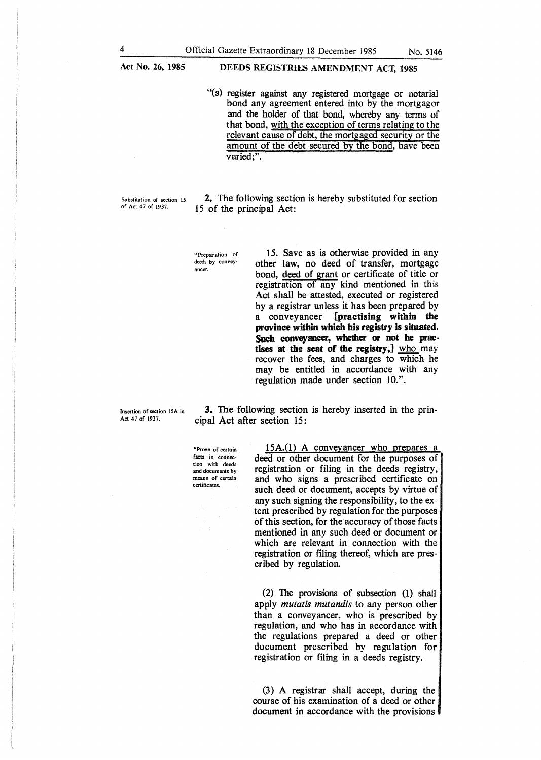## **DEEDS REGISTRIES AMENDMENT ACT, 1985**

"(s) register against any registered mortgage or notarial bond any agreement entered into by the mortgagor and the holder of that bond, whereby any terms of that bond, with the exception of terms relating to the relevant cause of debt, the mortgaged security or the amount of the debt secured by the bond, have been varied;".

Substitution of section 15 of Act 47 of 1937.

2. The following section is hereby substituted for section 15 of the principal Act:

"Preparation of deeds by conveyancer.

15. **Save** as is otherwise provided in any other law, no deed of transfer, mortgage bond, deed of grant or certificate of title or registration of any kind mentioned in this Act shall be attested, executed or registered by a registrar unless it has been prepared by a conveyancer **[practising within the province within which his registry is situated. Such conveyancer, whether or not he practises at the seat of the registry,]** who may recover the fees, and charges to which he may be entitled in accordance with any regulation made under section 10.".

Insertion of section 15A in Act 47 of 1937.

**3.** The following section is hereby inserted in the principal Act after section 15:

"Prove of certain facts in connection with deeds and documents by means of certain certificates

15A.(1) A conveyancer who prepares a deed or other document for the purposes of registration or filing in the deeds registry, and who signs a prescribed certificate on such deed or document, accepts by virtue of any such signing the responsibility, to the extent prescribed by regulation for the purposes of this section, for the accuracy of those facts mentioned in any such deed or document or which are relevant in connection with the registration or filing thereof, which are prescribed by regulation.

(2) The provisions of subsection  $(1)$  shall apply *mutatis mutandis* to any person other than a conveyancer, who is prescribed by regulation, and who has in accordance with the regulations prepared a deed or other document prescribed by regulation for registration or filing in a deeds registry.

(3) A registrar shall accept, during the course of his examination of a deed or other document in accordance with the provisions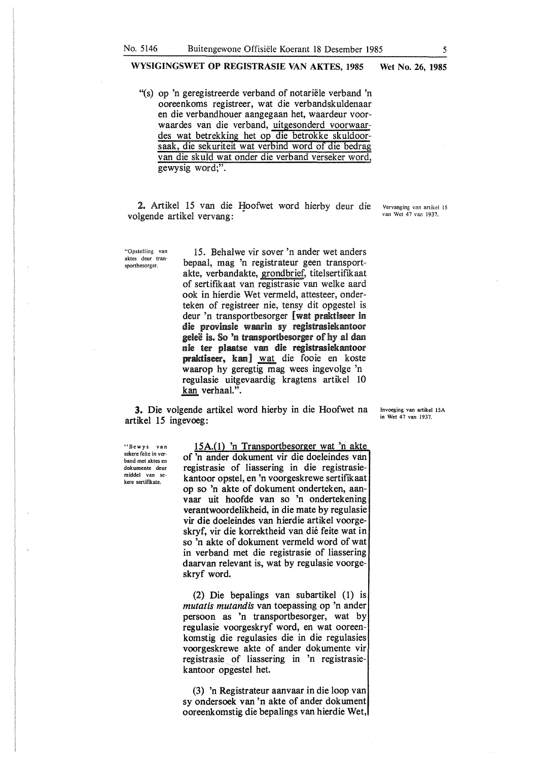"(s) op 'n geregistreerde verband of notariele verband 'n ooreenkoms registreer, wat die verbandskuldenaar en die verbandhouer aangegaan het, waardeur voorwaardes van die verband, uitgesonderd voorwaardes wat betrekking het op die betrokke skuldoorsaak, die sekuriteit wat verbind word of die bedrag van die skuld wat onder die verband verseker word, gewysig word;".

2. Artikel 15 van die Hoofwet word hierby deur die Vervanging van artikel 15 van die Hoofwet word hierby deur die Vervanging van artikel 15 volgende artikel vervang:

"Opstelling van aktes deur transportbesorger.

15. Behalwe vir sover 'n ander wet anders bepaal, mag 'n registrateur geen transportakte, verbandakte, grondbrief, titelsertifikaat of sertifikaat van registrasie van welke aard ook in hierdie Wet vermeld, attesteer, onderteken of registreer nie, tensy dit opgestel is deur 'n transportbesorger [ wat praktiseer in die provinsie waarin sy registrasiekantoor geleë is. So 'n transportbesorger of hy al dan nie ter plaatse van die registrasiekantoor praktiseer, kan] wat die fooie en koste waarop hy geregtig mag wees ingevolge 'n regulasie uitgevaardig kragtens artikel 10 kan verhaal.".

3. Die volgende artikel word hierby in die Hoofwet na artikel 15 ingevoeg:

'\*Bewys van sekere feite in verband met aktes en dokumente deur middel van sekere sertifikate.

15A.(1) 'n Transportbesorger wat 'n akt of 'n ander dokument vir die doeleindes van registrasie of liassering in die registrasiekantoor opstel, en 'n voorgeskrewe sertifikaat op so 'n akte of dokument onderteken, aanvaar uit hoofde van so 'n ondertekening verantwoordelikheid, in die mate by regulasie vir die doeleindes van hierdie artikel voorgeskryf, vir die korrektheid van die feite wat in so 'n akte of dokument vermeld word of wat in verband met die registrasie of liassering daarvan relevant is, wat by regulasie voorgeskryf word.

(2) Die bepalings van subartikel (1) is *mutatis mutandis* van toepassing op 'n ander persoon as 'n transportbesorger, wat by regulasie voorgeskryf word, en wat ooreenkomstig die regulasies die in die regulasies voorgeskrewe akte of ander dokumente vir registrasie of liassering in 'n registrasiekantoor opgestel het.

(3) 'n Registrateur aanvaar in die loop van sy ondersoek van 'n akte of ander dokument ooreenkomstig die bepalings van hierdie Wet,

Invoeging van artikel 15A in Wet 47 van 1937.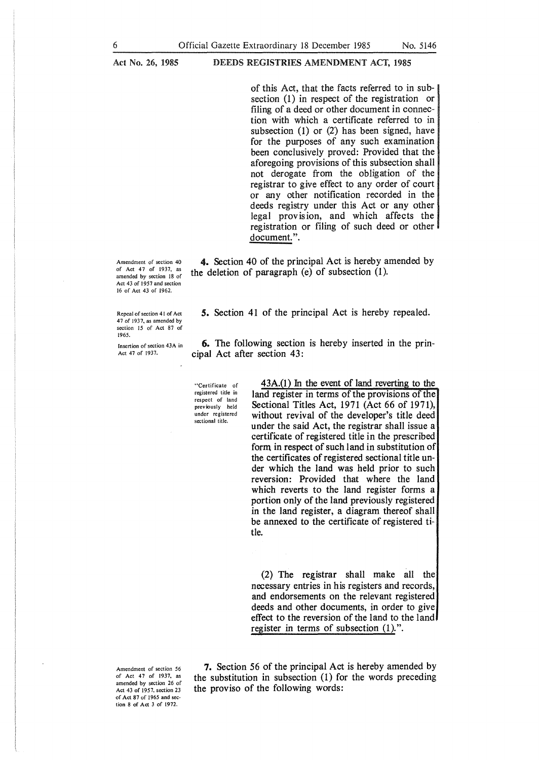of this Act, that the facts referred to in subsection (1) in respect of the registration or filing of a deed or other document in connection with which a certificate referred to in subsection (1) or (2) has been signed, have for the purposes of any such examination been conclusively proved: Provided that the aforegoing provisions of this subsection shall not derogate from the obligation of the registrar to give effect to any order of court or any other notification recorded in the deeds registry under this Act or any other legal provision, and which affects the registration or filing of such deed or other document.".

4. Section 40 of the principal Act is hereby amended by the deletion of paragraph (e) of subsection (1).

Amendment of section 40 of Act 47 of 1937, as amended by section 18 of Act 43 of 1957 and section 16 of Act 43 of 1962.

Repeal of section 41 of Act 47 of 1937, as amended by section 15 of Act 87 of 1965.

Insertion of section 43A in Act 47 of 1937.

*5.* Section 41 of the principal Act is hereby repealed.

6. The following section is hereby inserted in the principal Act after section 43:

• **1 Certifica te of**  registered title in respect of land previously held **under registered sectional title.** 

 $43A(1)$  In the event of land reverting to the land register in terms of the provisions of the Sectional Titles Act, 1971 (Act 66 of 1971), without revival of the developer's title deed under the said Act, the registrar shall issue a certificate of registered title in the prescribed form in respect of such land in substitution of the certificates of registered sectional title under which the land was held prior to such reversion: Provided that where the land which reverts to the land register forms a portion only of the land previously registered in the land register, a diagram thereof shall be annexed to the certificate of registered title.

(2) The registrar shall make all the necessary entries in his registers and records, and endorsements on the relevant registered deeds and other documents, in order to give effect to the reversion of the land to the land register in terms of subsection  $(1)$ .".

Amendment of section 56 of Act 47 of 1937, as amended by section 26 of Act 43 of 1957, section 23 of Act 87 of l 965 and section 8 of Act 3 of 1972.

**7.** Section 56 of the principal Act is hereby amended by the substitution in subsection (1) for the words preceding the proviso of the following words: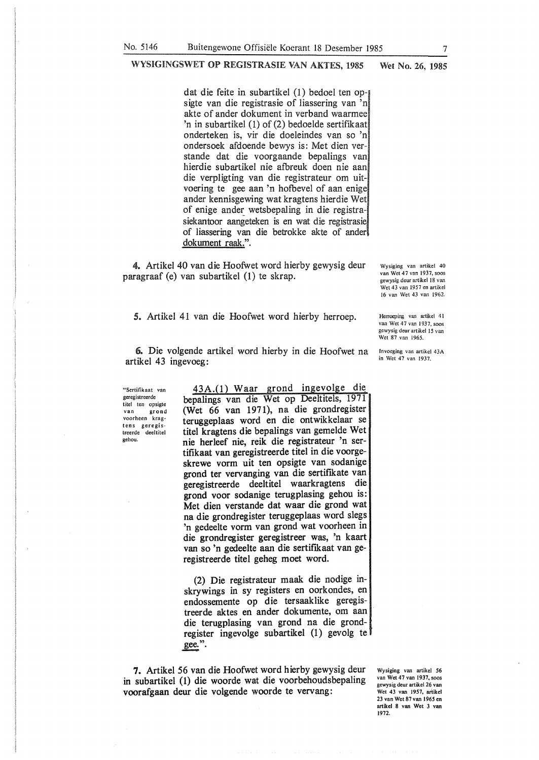dat die feite in subartikel (1) bedoel ten opsigte van die registrasie of liassering van 'n akte of ander dokument in verband waarmee 'n in subartikel (1) of (2) bedoelde sertifikaat onderteken is, vir die doeleindes van so 'n ondersoek afdoende bewys is: Met dien verstande dat die voorgaande bepalings van hierdie subartikel nie afbreuk doen nie aan die verpligting van die registrateur om uitvoering te gee aan 'n hofbevel of aan enige ander kennisgewing wat kragtens hierdie Wet of enige ander wetsbepaling in die registrasiekantoor aangeteken is en wat die registrasie, of liassering van die betrokke akte of ander dokument raak.".

4. Artikel 40 van die Hoofwet word hierby gewysig deur paragraaf (e) van subartikel (1) te skrap.

*5.* Artikel 41 van die Hoofwet word hierby herroep.

Wysiging van artikel 40 van Wet 47 van 1937, soos gewysig deur artikel 18 van Wet 43 van 1957 en artikel 16 van Wet 43 van 1962.

Herroeping van artikel 41 van Wet 47 van 1937, soos gewysig deur artikel 15 van Wet 87 van 1965.

6. Die volgende artikel word hierby in die Hoofwet na artikel 43 ingevoeg:

"Sertifikaat van geregistreerde titel ten opsigte van grond voorheen krag**tens geregis**treerde deeltitel gehou.

43A.(1) Waar grond ingevolge die bepalings van die Wet op Deeltitels, 1971 (Wet 66 van 1971), na die grondregister teruggeplaas word en die ontwikkelaar se titel kragtens die bepalings van gemelde Wet nie herleef nie, reik die registrateur 'n sertifikaat van geregistreerde titel in die voorgeskrewe vorm uit ten opsigte van sodanige grond ter vervanging van die sertifikate van geregistreerde deeltitel waarkragtens die grond voor sodanige terugplasing gehou is: Met dien verstande dat waar die grond wat na die grondregister teruggeplaas word slegs 'n gedeelte vorm van grond wat voorheen in die grondregister geregistreer was, 'n kaart van so 'n gedeelte aan die sertifikaat van geregistreerde titel geheg moet word.

(2) Die registrateur maak die nodige inskrywings in sy registers en oorkondes, en endossemente op die tersaaklike geregistreerde aktes en ander dokumente, om aan die terugplasing van grond na die grondregister ingevolge subartikel (1) gevolg te gee.".

7. Artikel 56 van die Hoofwet word hierby gewysig deur in subartikel (1) die woorde wat die voorbehoudsbepaling voorafgaan deur die volgende woorde te vervang:

Wysiging van artikel 56 van Wet 47 van 1937, soos gewysig deur artikel 26 van Wet 43 van 1957, ariikel 23 van Wet 87 van 1965 en artikel 8 van Wet 3 van 1972.

lnvoeging van artikel 43A in Wet 47 van 1937.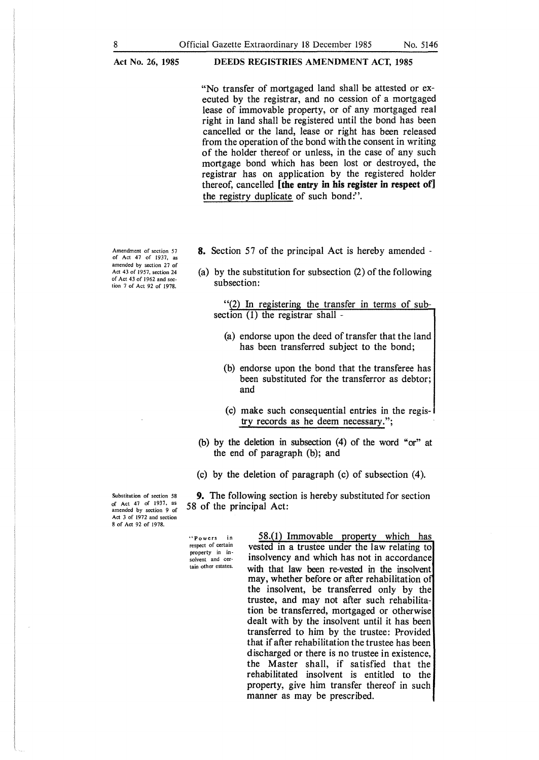```
Act No. 26, 1985
```
"No transfer of mortgaged land shall be attested or executed by the registrar, and no cession of a mortgaged lease of immovable property, or of any mortgaged real right in land shall be registered until the bond has been cancelled or the land, lease or right has been released from the operation of the bond with the consent in writing of the holder thereof or unless, in the case of any such mortgage bond which has been lost or destroyed, the registrar has on application by the registered holder thereof, cancelled **[the entry** in **his register in respect of]**  the registry duplicate of such bond?'.

Amendment of section 57 of Act 47 of 1937, as amended by section 27 of Act 43 of 1957, section 24 of Act 43 of 1962 and section 7 of Act 92 of 1978.

- **8.** Section 57 of the principal Act is hereby amended -
- (a) by the substitution for subsection (2) of the following subsection:

"(2) In registering the transfer in terms of subsection (1) the registrar shall -

- (a) endorse upon the deed of transfer that the land has been transferred subject to the bond;
- (b) endorse upon the bond that the transferee has been substituted for the transferror as debtor; and
- (c) make such consequential entries in the registry records as he deem necessary.";
- (b) by the deletion in subsection (4) of the word "or" at the end of paragraph (b); and
- (c) by the deletion of paragraph (c) of subsection (4).

**9.** The following section is hereby substituted for section 58 of the principal Act:

Substitution of section 58 of Act 47 of 1937, as amended by section 9 of Act 3 of 1972 and section 8 of Act 92 of 1978.

> "Powers in respect of certain property in insolvent and certain other estates.

58.(1) Immovable property which has vested in a trustee under the law relating to insolvency and which has not in accordance with that law been re-vested in the insolvent may, whether before or after rehabilitation o the insolvent, be transferred only by the trustee, and may not after such rehabilitation be transferred, mortgaged or otherwise dealt with by the insolvent until it has been transferred to him by the trustee: Provided that if after rehabilitation the trustee has been discharged or there is no trustee in existence, the Master shall, if satisfied that the rehabilitated insolvent is entitled to the property, give him transfer thereof in such manner as may be prescribed.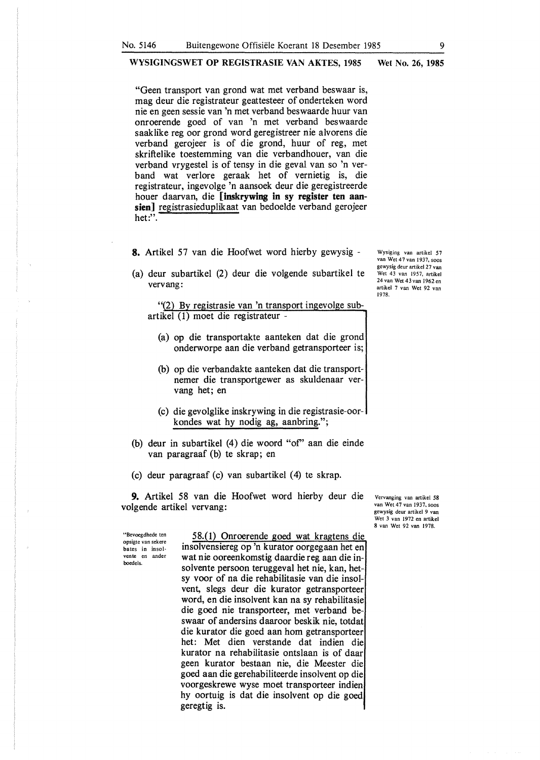"Geen transport van grond wat met verband beswaar is, mag deur die registrateur geattesteer of onderteken word nie en geen sessie van 'n met verband beswaarde huur van onroerende goed of van 'n met verband beswaarde saaklike reg oor grond word geregistreer nie alvorens die verband gerojeer is of die grond, huur of reg, met skriftelike toestemming van die verbandhouer, van die verband vrygestel is of tensy in die geval van so 'n verband wat verlore geraak het of vernietig is, die registrateur, ingevolge 'n aansoek deur die geregistreerde houer daarvan, die **[inskrywing in sy register ten aansien]** registrasieduplikaat van bedoelde verband gerojeer het:".

**8.** Artikel 57 van die Hoofwet word hierby gewysig -

(a) deur subartikel (2) deur die volgende subartikel te vervang:

"(2) By registrasie van 'n transport ingevolge subartikel (1) moet die registrateur -

- (a) op die transportakte aanteken dat die grond onderworpe aan die verband getransporteer is;
- (b) op die verbandakte aanteken dat die transportnemer die transportgewer as skuldenaar vervang het; en
- (c) die gevolglike inskrywing in die registrasie-oorkondes wat hy nodig ag, aanbring.";
- (b) deur in subartikel (4) die woord "of' aan die einde van paragraaf (b) te skrap; en
- (c) deur paragraaf (c) van subartikel (4) te skrap.

**9.** Artikel 58 van die Hoofwet word hierby deur die volgende artikel vervang:

"Bevoegdhede ten opsigte van sekere **bates in insolvente en ander**  boedels.

58.(1) Onroerende goed wat kragtens die insolvensiereg op 'n kurator oorgegaan het en wat nie ooreenkomstig daardie reg aan die insolvente persoon teruggeval het nie, kan, hetsy voor of na die rehabilitasie van die insolvent, slegs deur die kurator getransporteer word, en die insolvent kan na sy rehabilitasie die goed nie transporteer, met verband beswaar of andersins daaroor beskik nie, totdat die kurator die goed aan horn getransporteer het: Met dien verstande dat indien die kurator na rehabilitasie ontslaan is of daar geen kurator bestaan nie, die Meester die goed aan die gerehabiliteerde insolvent op die voorgeskrewe wyse moet transporteer indien hy oortuig is dat die insolvent op die goed geregtig is.

Vervanging van artikel 58 van Wet 47 van 1937, soos gewysig deur artikel 9 van Wet 3 van 1972 en artikel 8 van Wet 92 van 1978.

Wysiging van artikel 57 van Wet 47 van 1937. soos gewysig deur artikel 27 van Wet 43 van 1957, artikel 24 van Wet 43 van 1962 en artikel 7 van Wet 92 van 1978.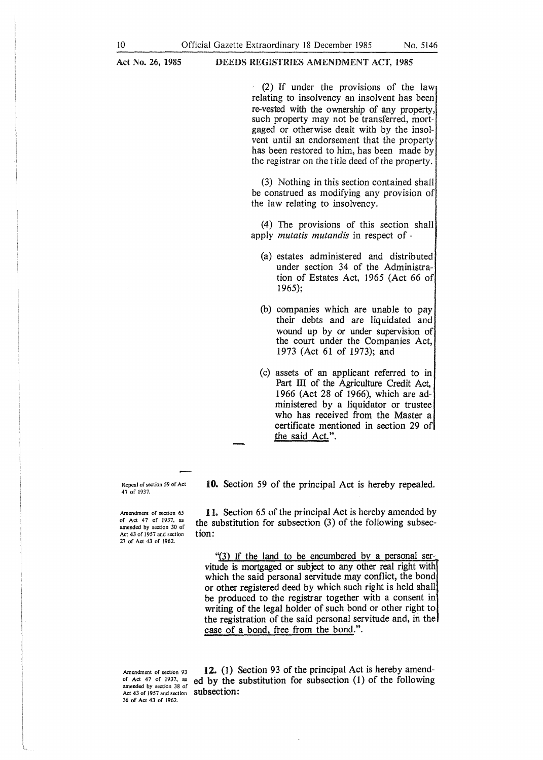(2) If under the provisions of the law relating to insolvency an insolvent has been re-vested with the ownership of any property, such property may not be transferred, mortgaged or otherwise dealt with by the insolvent until an endorsement that the property has been restored to him, has been made by the registrar on the title deed of the property.

(3) Nothing in this section contained shall be construed as modifying any provision of the law relating to insolvency.

(4) The provisions of this section shall apply *mutatis mutandis* in respect of -

- (a) estates administered and distributed under section 34 of the Administration of Estates Act, 1965 (Act 66 of 1965);
- (b) companies which are unable to pay their debts and are liquidated and wound up by or under supervision of the court under the Companies Act, 1973 (Act 61 of 1973); and
- (c) assets of an applicant referred to in Part III of the Agriculture Credit Act, 1966 (Act 28 of 1966), which are administered by a liquidator or trustee who has received from the Master a certificate mentioned in section 29 of the said Act.".

Repeal of section *59* of Act 47 of 1937.

10. Section 59 of the principal Act is hereby repealed.

Amendment of section 65 of Act 47 of 1937, as amended by section 30 of Act 43 of 1957 and section 27 of Act 43 of 1962.

11. Section 65 of the principal Act is hereby amended by the substitution for subsection (3) of the following subsection:

"(3) If the land to be encumbered by a personal servitude is mortgaged or subject to any other real right with which the said personal servitude may conflict, the bond or other registered deed by which such right is held shall be produced to the registrar together with a consent in writing of the legal holder of such bond or other right to the registration of the said personal servitude and, in the case of a bond, free from the bond.".

Amendment of section 93 of Act 47 of 1937, as amended by section 38 of Act 43 of 1957 and section **Subsection:** 36 of Act 43 of 1962.

12. (1) Section 93 of the principal Act is hereby amended by the substitution for subsection (1) of the following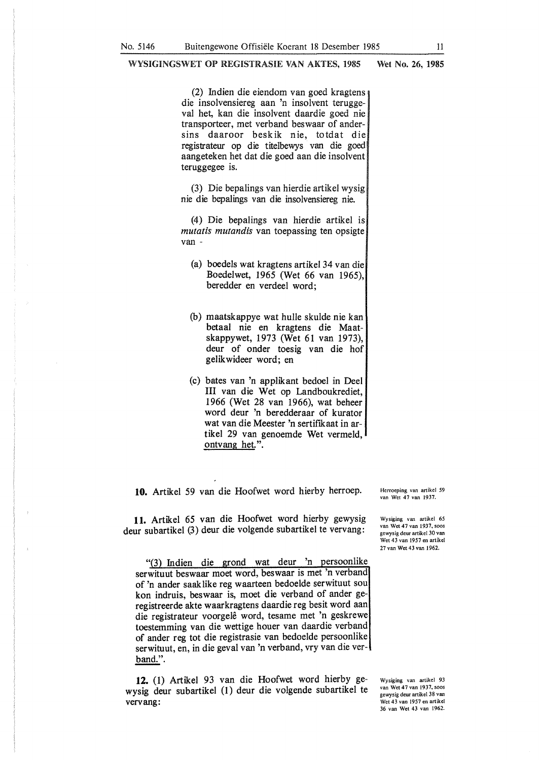(2) Indien die eiendom van goed kragtens die insolvensiereg aan 'n insolvent teruggeval bet, kan die insolvent daardie goed nie transporteer, met verband beswaar of andersins daaroor beskik nie, totdat die registrateur op die titelbewys van die goed aangeteken bet dat die goed aan die insolvent teruggegee is.

(3) Die bepalings van bierdie artikel wysig nie die bepalings van die insolvensiereg nie.

(4) Die bepalings van bierdie artikel is *mutatis mutandis* van toepassing ten opsigte van -

- (a) boedels wat kragtens artikel 34 van die Boedelwet, 1965 (Wet 66 van 1965), beredder en verdeel word;
- (b) maatskappye wat bulle skulde nie kan betaal nie en kragtens die Maatskappywet, 1973 (Wet 61 van 1973), deur of onder toesig van die bof gelikwideer word; en
- (c) bates van 'n applikant bedoel in Deel III van die Wet op Landboukrediet, 1966 (Wet 28 van 1966), wat bebeer word deur 'n beredderaar of kurator wat van die Meester 'n sertiflkaat in artikel 29 van genoemde Wet vermeld, ontvang het.".

**10.** Artikel 59 van die Hoofwet word bierby herroep.

**11.** Artikel 65 van die Hoofwet word hierby gewysig deur subartikel (3) deur die volgende subartikel te vervang:

"(3) Indien die grond wat deur 'n persoonlike serwituut beswaar moet word, beswaar is met 'n verband of 'n ander saaklike reg waarteen bedoelde serwituut sou kon indruis, beswaar is, moet die verband of ander geregistreerde akte waarkragtens daardie reg besit word aan die registrateur voorgele word, tesame met 'n geskrewe toestemming van die wettige houer van daardie verband of antler reg tot die registrasie van bedoelde persoonlike serwituut, en, in die geval van 'n verband, vry van die verband.".

**12.** (1) Artikel 93 van die Hoofwet word hierby ge**wysig deur subartikel** (1) deur **die volgende** subartikel te **vervang:** 

Herroeping van artikel *59*  van Wet 47 van 1937.

Wysiging van artikel 65 van Wet 47 van 1937, soos gewysig deur artikel 30 van Wet 43 van 1957 en artikel 27 van Wet 43 van I 962.

Wysiging van artikel 93 van Wet 47 van 1937, soos gewysig deur artikel 38 van Wet 43 van 1957 en artikel 36 van Wet 43 van 1962.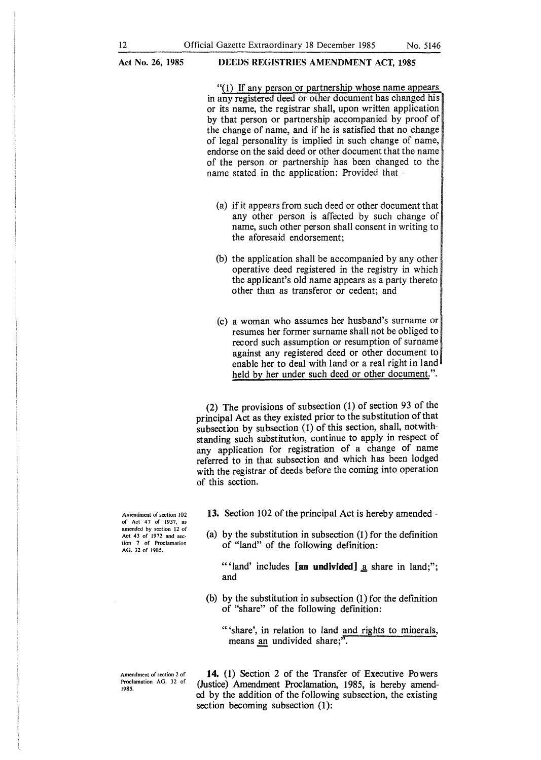### **DEEDS REGISTRIES AMENDMENT ACT, 1985**

"(1) If any person or partnership whose name appears in any registered deed or other document has changed his or its name, the registrar shall, upon written application by that person or partnership accompanied by proof of the change of name, and if he is satisfied that no change of legal personality is implied in such change of name, endorse on the said deed or other document that the name of the person or partnership has been changed to the name stated in the application: Provided that -

- (a) if it appears from such deed or other document that any other person is affected by such change of name, such other person shall consent in writing to the aforesaid endorsement;
- (b) the application shall be accompanied by any other operative deed registered in the registry in which the applicant's old name appears as a party thereto other than as transferor or cedent; and
- (c) a woman who assumes her husband's surname or resumes her former surname shall not be obliged to record such assumption or resumption of surname against any registered deed or other document to enable her to deal with land or a real right in land held by her under such deed or other document.".

(2) The provisions of subsection (1) of section 93 of the principal Act as they existed prior to the substitution of that subsection by subsection (1) of this section, shall, notwithstanding such substitution, continue to apply in respect of any application for registration of a change of name referred to in that subsection and which has been lodged with the registrar of deeds before the coming into operation of this section.

Amendment of section 102 of Act 47 of 1937, as amended by section 12 of Act 43 of 1972 and sec· tion 7 of Proclamation AG. 32 of 1985.

Amendment of section 2 of Proclamation AG. 32 of

1985.

13. Section 102 of the principal Act is hereby amended -

(a) by the substitution in subsection (1) for the definition of "land" of the following definition:

"' land' includes **[an undivided]** <u>a</u> share in land;"; and

(b) by the substitution in subsection (1) for the definition of "share" of the following definition:

"'share', in relation to land and rights to minerals, means an undivided share;".

**14.** (1) Section 2 of the Transfer of Executive Powers (Justice) Amendment Proclamation, 1985, is hereby amended by the addition of the following subsection, the existing section becoming subsection (1):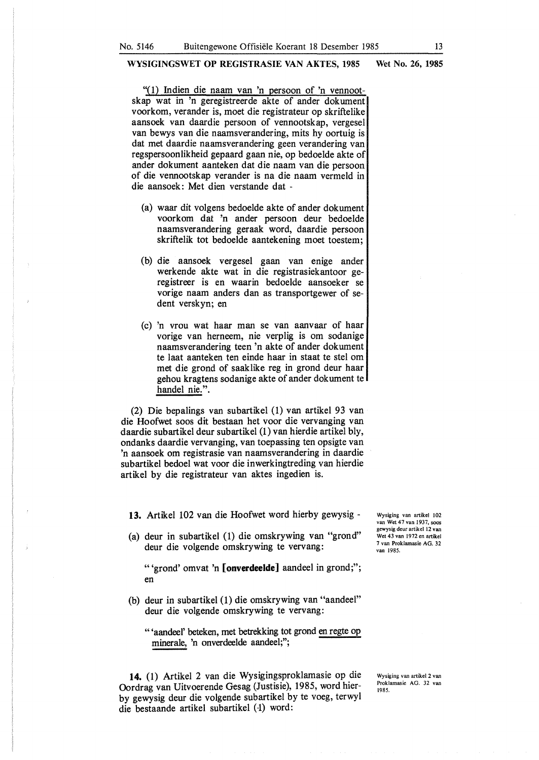"(1) Indien die naam van 'n persoon of 'n vennootskap wat in 'n geregistreerde akte of ander dokument voorkom, verander is, moet die registrateur op skriftelike aansoek van daardie persoon of vennootskap, vergesel van bewys van die naamsverandering, mits hy oortuig is dat met daardie naamsverandering geen verandering van regspersoonlikheid gepaard gaan nie, op bedoelde akte of ander dokument aanteken dat die naam van die persoon of die vennootskap verander is na die naam vermeld in die aansoek: Met dien verstande dat -

- (a) waar dit volgens bedoelde akte of ander dokument voorkom dat 'n ander persoon deur bedoelde naamsverandering geraak word, daardie persoon skriftelik tot bedoelde aantekening moet toestem;
- (b) die aansoek vergesel gaan van enige ander werkende akte wat in die registrasiekantoor geregistreer is en waarin bedoelde aansoeker se vorige naam anders dan as transportgewer of sedent verskyn; en
- (c) 'n vrou wat haar man se van aanvaar of haar vorige van herneem, nie verplig is om sodanige naamsverandering teen 'n akte of ander dokument te laat aanteken ten einde haar in staat te stel om met die grond of saaklike reg in grond deur haar gehou kragtens sodanige akte of ander dokument te handel nie.".

(2) Die bepalings van subartikel (1) van artikel 93 van die Hoofwet soos dit bestaan het voor die vervanging van daardie subartikel deur subartikel (1) van hierdie artikel bly, ondanks daardie vervanging, van toepassing ten opsigte van 'n aansoek om registrasie van naamsverandering in daardie subartikel bedoel wat voor die inwerkingtreding van hierdie artikel by die registrateur van aktes ingedien is.

**13.** Artikel 102 van die Hoofwet word hierby gewysig -

(a) deur in subartikel (1) die omskrywing van "grond" deur die volgende omskrywing te vervang:

"'grond' omvat 'n **[onverdeelde]** aandeel in grond;"; en

(b) deur in subartikel (1) die omskrywing van "aandeel" deur die volgende omskrywing te vervang:

" 'aandeel' beteken, met betrekking tot grond en regte op minerale, 'n onverdeelde aandeel;";

**14.** (1) Artikel 2 van die Wysigingsproklamasie op die Oordrag van Uitvoerende Gesag (Justisie), 1985, word hierby gewysig deur die volgende subartikel by te voeg, terwyl die bestaande artikel subartikel (1) word:

Wysiging van artikel 102 van Wet 47 van 1937, soos gewysig deur artikel 12 van Wet 43 van 1972 en artikel 7 van Proklamasie AG. 32 van 1985.

Wysiging van artikel 2 van Proklamasie AG. 32 van 1985.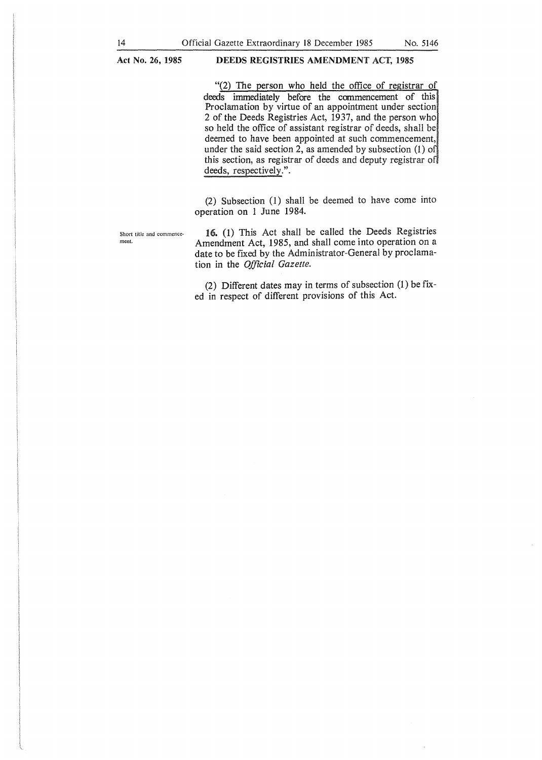### **DEEDS REGISTRIES AMENDMENT** ACT, **1985**

"(2) The person who held the office of registrar of deeds immediately before the commencement of this Proclamation by virtue of an appointment under section 2 of the Deeds Registries Act, 1937, and the person who so held the office of assistant registrar of deeds, shall be deemed to have been appointed at such commencement, under the said section 2, as amended by subsection  $(1)$  of this section, as registrar of deeds and deputy registrar o deeds, respectively.".

(2) Subsection (1) shall be deemed to have come into operation on 1 June 1984.

Short title and commence-<br>
16. (1) This Act shall be called the Deeds Registries<br>  $\frac{1}{2}$  Among and Act 1085 and shall come into operation on a Amendment Act, 1985, and shall come into operation on a date to be fixed by the Administrator-General by proclamation in the *Official Gazette.* 

> (2) Different dates may in terms of subsection (1) be fixed in respect of different provisions of this Act.